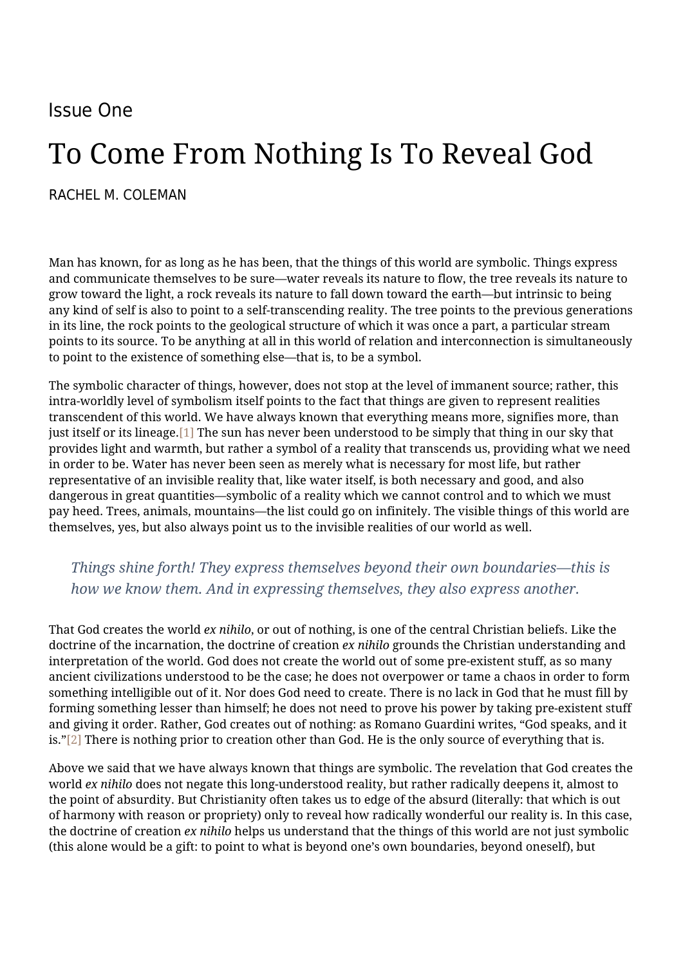## Issue One

# To Come From Nothing Is To Reveal God

#### [RACHEL M. COLEMAN](https://humanumreview.com/contributors/rachel-coleman)

Man has known, for as long as he has been, that the things of this world are symbolic. Things express and communicate themselves to be sure—water reveals its nature to flow, the tree reveals its nature to grow toward the light, a rock reveals its nature to fall down toward the earth—but intrinsic to being any kind of self is also to point to a self-transcending reality. The tree points to the previous generations in its line, the rock points to the geological structure of which it was once a part, a particular stream points to its source. To be anything at all in this world of relation and interconnection is simultaneously to point to the existence of something else—that is, to be a symbol.

The symbolic character of things, however, does not stop at the level of immanent source; rather, this intra-worldly level of symbolism itself points to the fact that things are given to represent realities transcendent of this world. We have always known that everything means more, signifies more, than just itself or its lineage[.\[1\]](#page--1-0) The sun has never been understood to be simply that thing in our sky that provides light and warmth, but rather a symbol of a reality that transcends us, providing what we need in order to be. Water has never been seen as merely what is necessary for most life, but rather representative of an invisible reality that, like water itself, is both necessary and good, and also dangerous in great quantities—symbolic of a reality which we cannot control and to which we must pay heed. Trees, animals, mountains—the list could go on infinitely. The visible things of this world are themselves, yes, but also always point us to the invisible realities of our world as well.

### *Things shine forth! They express themselves beyond their own boundaries—this is how we know them. And in expressing themselves, they also express another.*

That God creates the world *ex nihilo*, or out of nothing, is one of the central Christian beliefs. Like the doctrine of the incarnation, the doctrine of creation *ex nihilo* grounds the Christian understanding and interpretation of the world. God does not create the world out of some pre-existent stuff, as so many ancient civilizations understood to be the case; he does not overpower or tame a chaos in order to form something intelligible out of it. Nor does God need to create. There is no lack in God that he must fill by forming something lesser than himself; he does not need to prove his power by taking pre-existent stuff and giving it order. Rather, God creates out of nothing: as Romano Guardini writes, "God speaks, and it is.["\[2\]](#page--1-0) There is nothing prior to creation other than God. He is the only source of everything that is.

Above we said that we have always known that things are symbolic. The revelation that God creates the world *ex nihilo* does not negate this long-understood reality, but rather radically deepens it, almost to the point of absurdity. But Christianity often takes us to edge of the absurd (literally: that which is out of harmony with reason or propriety) only to reveal how radically wonderful our reality is. In this case, the doctrine of creation *ex nihilo* helps us understand that the things of this world are not just symbolic (this alone would be a gift: to point to what is beyond one's own boundaries, beyond oneself), but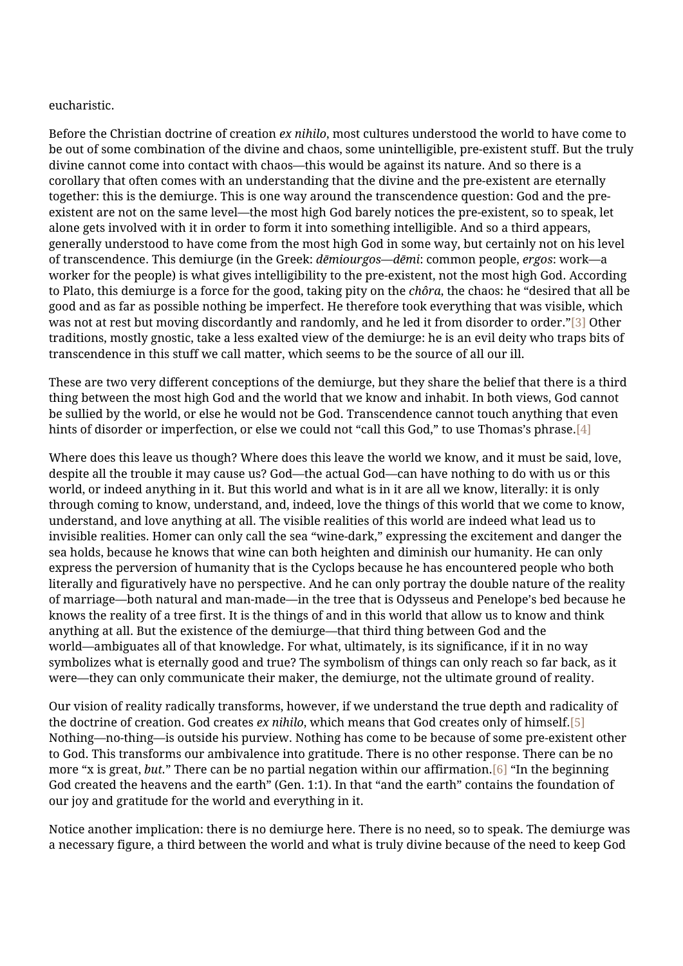#### eucharistic.

Before the Christian doctrine of creation *ex nihilo*, most cultures understood the world to have come to be out of some combination of the divine and chaos, some unintelligible, pre-existent stuff. But the truly divine cannot come into contact with chaos—this would be against its nature. And so there is a corollary that often comes with an understanding that the divine and the pre-existent are eternally together: this is the demiurge. This is one way around the transcendence question: God and the preexistent are not on the same level—the most high God barely notices the pre-existent, so to speak, let alone gets involved with it in order to form it into something intelligible. And so a third appears, generally understood to have come from the most high God in some way, but certainly not on his level of transcendence. This demiurge (in the Greek: *dēmiourgos*—*dēmi*: common people, *ergos*: work—a worker for the people) is what gives intelligibility to the pre-existent, not the most high God. According to Plato, this demiurge is a force for the good, taking pity on the *chôra*, the chaos: he "desired that all be good and as far as possible nothing be imperfect. He therefore took everything that was visible, which was not at rest but moving discordantly and randomly, and he led it from disorder to order."[\[3\]](#page--1-0) Other traditions, mostly gnostic, take a less exalted view of the demiurge: he is an evil deity who traps bits of transcendence in this stuff we call matter, which seems to be the source of all our ill.

These are two very different conceptions of the demiurge, but they share the belief that there is a third thing between the most high God and the world that we know and inhabit. In both views, God cannot be sullied by the world, or else he would not be God. Transcendence cannot touch anything that even hints of disorder or imperfection, or else we could not "call this God," to use Thomas's phrase[.\[4\]](#page--1-0)

Where does this leave us though? Where does this leave the world we know, and it must be said, love, despite all the trouble it may cause us? God—the actual God—can have nothing to do with us or this world, or indeed anything in it. But this world and what is in it are all we know, literally: it is only through coming to know, understand, and, indeed, love the things of this world that we come to know, understand, and love anything at all. The visible realities of this world are indeed what lead us to invisible realities. Homer can only call the sea "wine-dark," expressing the excitement and danger the sea holds, because he knows that wine can both heighten and diminish our humanity. He can only express the perversion of humanity that is the Cyclops because he has encountered people who both literally and figuratively have no perspective. And he can only portray the double nature of the reality of marriage—both natural and man-made—in the tree that is Odysseus and Penelope's bed because he knows the reality of a tree first. It is the things of and in this world that allow us to know and think anything at all. But the existence of the demiurge—that third thing between God and the world—ambiguates all of that knowledge. For what, ultimately, is its significance, if it in no way symbolizes what is eternally good and true? The symbolism of things can only reach so far back, as it were—they can only communicate their maker, the demiurge, not the ultimate ground of reality.

Our vision of reality radically transforms, however, if we understand the true depth and radicality of the doctrine of creation. God creates *ex nihilo*, which means that God creates only of himself[.\[5\]](#page--1-0) Nothing—no-thing—is outside his purview. Nothing has come to be because of some pre-existent other to God. This transforms our ambivalence into gratitude. There is no other response. There can be no more "x is great, *but.*" There can be no partial negation within our affirmation[.\[6\]](#page--1-0) "In the beginning God created the heavens and the earth" (Gen. 1:1). In that "and the earth" contains the foundation of our joy and gratitude for the world and everything in it.

Notice another implication: there is no demiurge here. There is no need, so to speak. The demiurge was a necessary figure, a third between the world and what is truly divine because of the need to keep God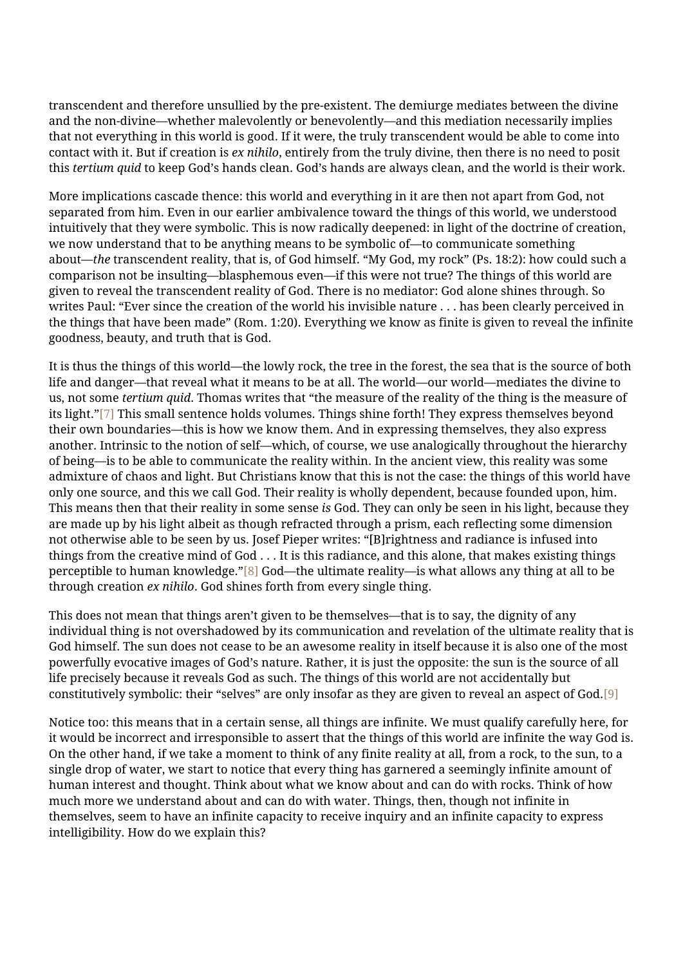transcendent and therefore unsullied by the pre-existent. The demiurge mediates between the divine and the non-divine—whether malevolently or benevolently—and this mediation necessarily implies that not everything in this world is good. If it were, the truly transcendent would be able to come into contact with it. But if creation is *ex nihilo*, entirely from the truly divine, then there is no need to posit this *tertium quid* to keep God's hands clean. God's hands are always clean, and the world is their work.

More implications cascade thence: this world and everything in it are then not apart from God, not separated from him. Even in our earlier ambivalence toward the things of this world, we understood intuitively that they were symbolic. This is now radically deepened: in light of the doctrine of creation, we now understand that to be anything means to be symbolic of—to communicate something about—*the* transcendent reality, that is, of God himself. "My God, my rock" (Ps. 18:2): how could such a comparison not be insulting—blasphemous even—if this were not true? The things of this world are given to reveal the transcendent reality of God. There is no mediator: God alone shines through. So writes Paul: "Ever since the creation of the world his invisible nature . . . has been clearly perceived in the things that have been made" (Rom. 1:20). Everything we know as finite is given to reveal the infinite goodness, beauty, and truth that is God.

It is thus the things of this world—the lowly rock, the tree in the forest, the sea that is the source of both life and danger—that reveal what it means to be at all. The world—our world—mediates the divine to us, not some *tertium quid*. Thomas writes that "the measure of the reality of the thing is the measure of its light."[\[7\]](#page--1-0) This small sentence holds volumes. Things shine forth! They express themselves beyond their own boundaries—this is how we know them. And in expressing themselves, they also express another. Intrinsic to the notion of self—which, of course, we use analogically throughout the hierarchy of being—is to be able to communicate the reality within. In the ancient view, this reality was some admixture of chaos and light. But Christians know that this is not the case: the things of this world have only one source, and this we call God. Their reality is wholly dependent, because founded upon, him. This means then that their reality in some sense *is* God. They can only be seen in his light, because they are made up by his light albeit as though refracted through a prism, each reflecting some dimension not otherwise able to be seen by us. Josef Pieper writes: "[B]rightness and radiance is infused into things from the creative mind of God . . . It is this radiance, and this alone, that makes existing things perceptible to human knowledge.["\[8\]](#page--1-0) God—the ultimate reality—is what allows any thing at all to be through creation *ex nihilo*. God shines forth from every single thing.

This does not mean that things aren't given to be themselves—that is to say, the dignity of any individual thing is not overshadowed by its communication and revelation of the ultimate reality that is God himself. The sun does not cease to be an awesome reality in itself because it is also one of the most powerfully evocative images of God's nature. Rather, it is just the opposite: the sun is the source of all life precisely because it reveals God as such. The things of this world are not accidentally but constitutively symbolic: their "selves" are only insofar as they are given to reveal an aspect of God[.\[9\]](#page--1-0)

Notice too: this means that in a certain sense, all things are infinite. We must qualify carefully here, for it would be incorrect and irresponsible to assert that the things of this world are infinite the way God is. On the other hand, if we take a moment to think of any finite reality at all, from a rock, to the sun, to a single drop of water, we start to notice that every thing has garnered a seemingly infinite amount of human interest and thought. Think about what we know about and can do with rocks. Think of how much more we understand about and can do with water. Things, then, though not infinite in themselves, seem to have an infinite capacity to receive inquiry and an infinite capacity to express intelligibility. How do we explain this?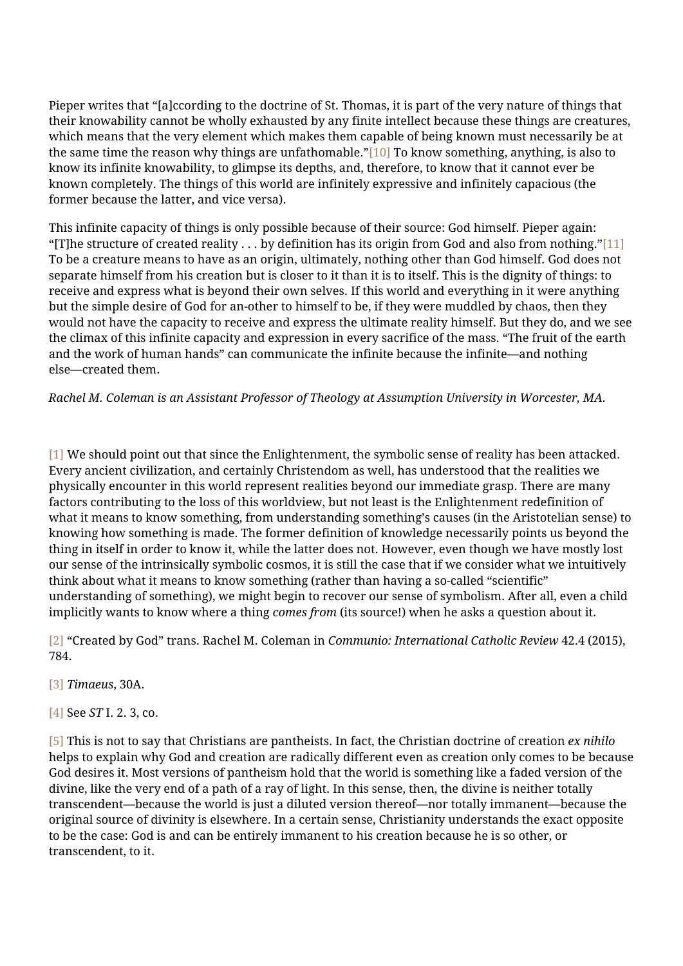Pieper writes that "[a]ccording to the doctrine of St. Thomas, it is part of the very nature of things that their knowability cannot be wholly exhausted by any finite intellect because these things are creatures, which means that the very element which makes them capable of being known must necessarily be at the same time the reason why things are unfathomable."[\[10\]](#page--1-0) To know something, anything, is also to know its infinite knowability, to glimpse its depths, and, therefore, to know that it cannot ever be known completely. The things of this world are infinitely expressive and infinitely capacious (the former because the latter, and vice versa).

This infinite capacity of things is only possible because of their source: God himself. Pieper again: "[T]he structure of created reality  $\dots$  by definition has its origin from God and also from nothing.["\[11\]](#page--1-0) To be a creature means to have as an origin, ultimately, nothing other than God himself. God does not separate himself from his creation but is closer to it than it is to itself. This is the dignity of things: to receive and express what is beyond their own selves. If this world and everything in it were anything but the simple desire of God for an-other to himself to be, if they were muddled by chaos, then they would not have the capacity to receive and express the ultimate reality himself. But they do, and we see the climax of this infinite capacity and expression in every sacrifice of the mass. "The fruit of the earth and the work of human hands" can communicate the infinite because the infinite—and nothing else—created them.

*Rachel M. Coleman is an Assistant Professor of Theology at Assumption University in Worcester, MA.*

[\[1\]](#page--1-0) We should point out that since the Enlightenment, the symbolic sense of reality has been attacked. Every ancient civilization, and certainly Christendom as well, has understood that the realities we physically encounter in this world represent realities beyond our immediate grasp. There are many factors contributing to the loss of this worldview, but not least is the Enlightenment redefinition of what it means to know something, from understanding something's causes (in the Aristotelian sense) to knowing how something is made. The former definition of knowledge necessarily points us beyond the thing in itself in order to know it, while the latter does not. However, even though we have mostly lost our sense of the intrinsically symbolic cosmos, it is still the case that if we consider what we intuitively think about what it means to know something (rather than having a so-called "scientific" understanding of something), we might begin to recover our sense of symbolism. After all, even a child implicitly wants to know where a thing *comes from* (its source!) when he asks a question about it.

[\[2\]](#page--1-0) "Created by God" trans. Rachel M. Coleman in *Communio: International Catholic Review* 42.4 (2015), 784.

- [\[3\]](#page--1-0) *Timaeus*, 30A.
- [\[4\]](#page--1-0) See *ST* I. 2. 3, co.

[\[5\]](#page--1-0) This is not to say that Christians are pantheists. In fact, the Christian doctrine of creation *ex nihilo* helps to explain why God and creation are radically different even as creation only comes to be because God desires it. Most versions of pantheism hold that the world is something like a faded version of the divine, like the very end of a path of a ray of light. In this sense, then, the divine is neither totally transcendent—because the world is just a diluted version thereof—nor totally immanent—because the original source of divinity is elsewhere. In a certain sense, Christianity understands the exact opposite to be the case: God is and can be entirely immanent to his creation because he is so other, or transcendent, to it.